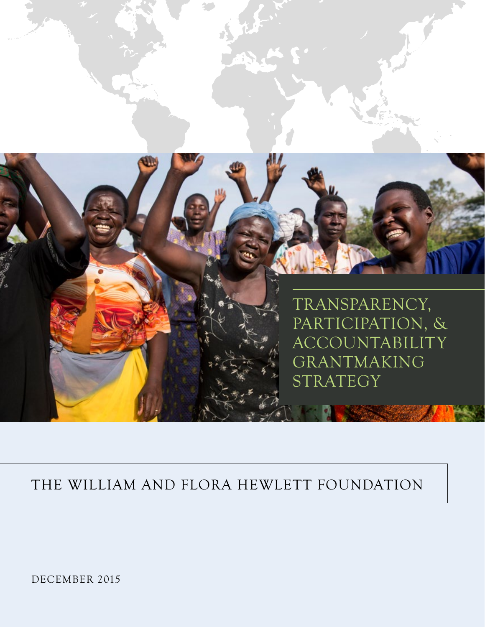

# THE WILLIAM AND FLORA HEWLETT FOUNDATION

DECEMBER 2015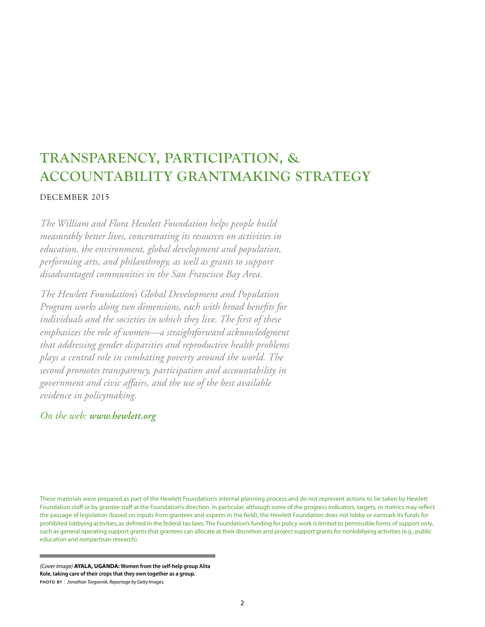# **TRANSPARENCY, PARTICIPATION, & ACCOUNTABILITY GRANTMAKING STRATEGY**

### DECEMBER 2015

*The William and Flora Hewlett Foundation helps people build measurably better lives, concentrating its resources on activities in education, the environment, global development and population, performing arts, and philanthropy, as well as grants to support disadvantaged communities in the San Francisco Bay Area.* 

*The Hewlett Foundation's Global Development and Population Program works along two dimensions, each with broad benefits for individuals and the societies in which they live. The first of these emphasizes the role of women—a straightforward acknowledgment that addressing gender disparities and reproductive health problems plays a central role in combating poverty around the world. The second promotes transparency, participation and accountability in government and civic affairs, and the use of the best available evidence in policymaking.*

### *On the web: www.hewlett.org*

These materials were prepared as part of the Hewlett Foundation's internal planning process and do not represent actions to be taken by Hewlett Foundation staff or by grantee staff at the Foundation's direction. In particular, although some of the progress indicators, targets, or metrics may reflect the passage of legislation (based on inputs from grantees and experts in the field), the Hewlett Foundation does not lobby or earmark its funds for prohibited lobbying activities, as defined in the federal tax laws. The Foundation's funding for policy work is limited to permissible forms of support only, such as general operating support grants that grantees can allocate at their discretion and project support grants for nonlobbying activities (e.g., public education and nonpartisan research).

*(Cover Image)* **AYALA, UGANDA: Women from the self-help group Alita Kole, taking care of their crops that they own together as a group. photo by** : *Jonathan Torgovnik, Reportage by Getty Images.*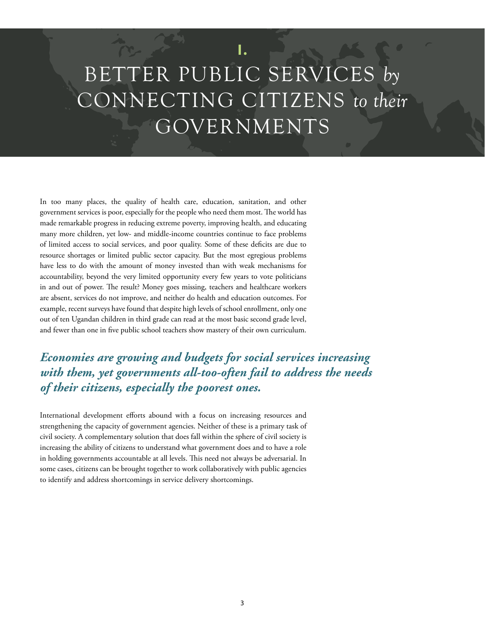# BETTER PUBLIC SERVICES *by* CONNECTING CITIZENS *to their* GOVERNMENTS

**I.**

In too many places, the quality of health care, education, sanitation, and other government services is poor, especially for the people who need them most. The world has made remarkable progress in reducing extreme poverty, improving health, and educating many more children, yet low- and middle-income countries continue to face problems of limited access to social services, and poor quality. Some of these deficits are due to resource shortages or limited public sector capacity. But the most egregious problems have less to do with the amount of money invested than with weak mechanisms for accountability, beyond the very limited opportunity every few years to vote politicians in and out of power. The result? Money goes missing, teachers and healthcare workers are absent, services do not improve, and neither do health and education outcomes. For example, recent surveys have found that despite high levels of school enrollment, only one out of ten Ugandan children in third grade can read at the most basic second grade level, and fewer than one in five public school teachers show mastery of their own curriculum.

# *Economies are growing and budgets for social services increasing with them, yet governments all-too-often fail to address the needs of their citizens, especially the poorest ones.*

International development efforts abound with a focus on increasing resources and strengthening the capacity of government agencies. Neither of these is a primary task of civil society. A complementary solution that does fall within the sphere of civil society is increasing the ability of citizens to understand what government does and to have a role in holding governments accountable at all levels. This need not always be adversarial. In some cases, citizens can be brought together to work collaboratively with public agencies to identify and address shortcomings in service delivery shortcomings.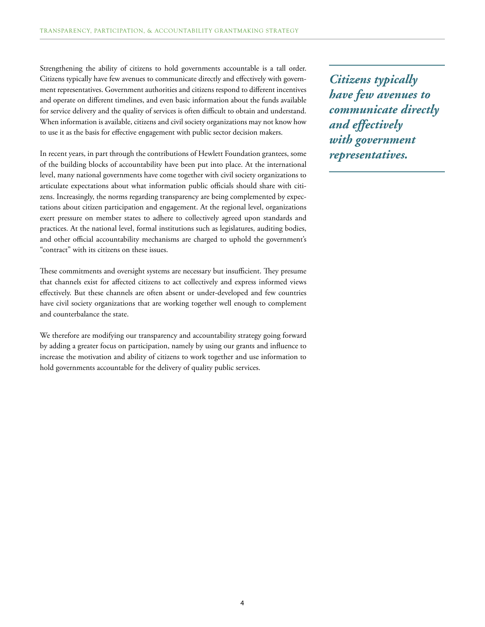Strengthening the ability of citizens to hold governments accountable is a tall order. Citizens typically have few avenues to communicate directly and effectively with government representatives. Government authorities and citizens respond to different incentives and operate on different timelines, and even basic information about the funds available for service delivery and the quality of services is often difficult to obtain and understand. When information is available, citizens and civil society organizations may not know how to use it as the basis for effective engagement with public sector decision makers.

In recent years, in part through the contributions of Hewlett Foundation grantees, some of the building blocks of accountability have been put into place. At the international level, many national governments have come together with civil society organizations to articulate expectations about what information public officials should share with citizens. Increasingly, the norms regarding transparency are being complemented by expectations about citizen participation and engagement. At the regional level, organizations exert pressure on member states to adhere to collectively agreed upon standards and practices. At the national level, formal institutions such as legislatures, auditing bodies, and other official accountability mechanisms are charged to uphold the government's "contract" with its citizens on these issues.

These commitments and oversight systems are necessary but insufficient. They presume that channels exist for affected citizens to act collectively and express informed views effectively. But these channels are often absent or under-developed and few countries have civil society organizations that are working together well enough to complement and counterbalance the state.

We therefore are modifying our transparency and accountability strategy going forward by adding a greater focus on participation, namely by using our grants and influence to increase the motivation and ability of citizens to work together and use information to hold governments accountable for the delivery of quality public services.

*Citizens typically have few avenues to communicate directly and effectively with government representatives.*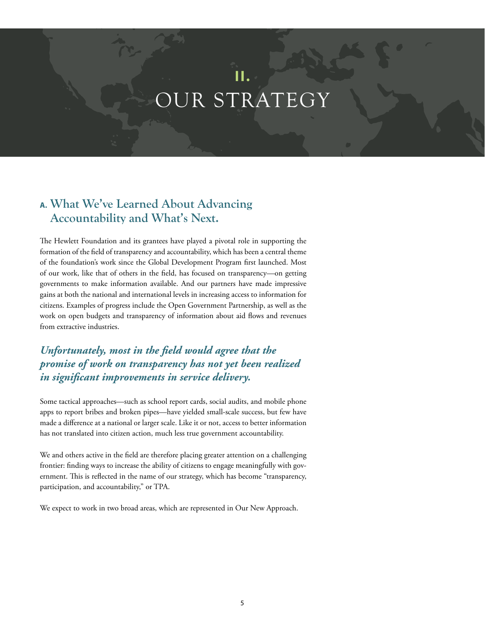# **II.** OUR STRATEGY

# **A. What We've Learned About Advancing Accountability and What's Next.**

The Hewlett Foundation and its grantees have played a pivotal role in supporting the formation of the field of transparency and accountability, which has been a central theme of the foundation's work since the Global Development Program first launched. Most of our work, like that of others in the field, has focused on transparency—on getting governments to make information available. And our partners have made impressive gains at both the national and international levels in increasing access to information for citizens. Examples of progress include the Open Government Partnership, as well as the work on open budgets and transparency of information about aid flows and revenues from extractive industries.

# *Unfortunately, most in the field would agree that the promise of work on transparency has not yet been realized in significant improvements in service delivery.*

Some tactical approaches—such as school report cards, social audits, and mobile phone apps to report bribes and broken pipes—have yielded small-scale success, but few have made a difference at a national or larger scale. Like it or not, access to better information has not translated into citizen action, much less true government accountability.

We and others active in the field are therefore placing greater attention on a challenging frontier: finding ways to increase the ability of citizens to engage meaningfully with government. This is reflected in the name of our strategy, which has become "transparency, participation, and accountability," or TPA.

We expect to work in two broad areas, which are represented in Our New Approach.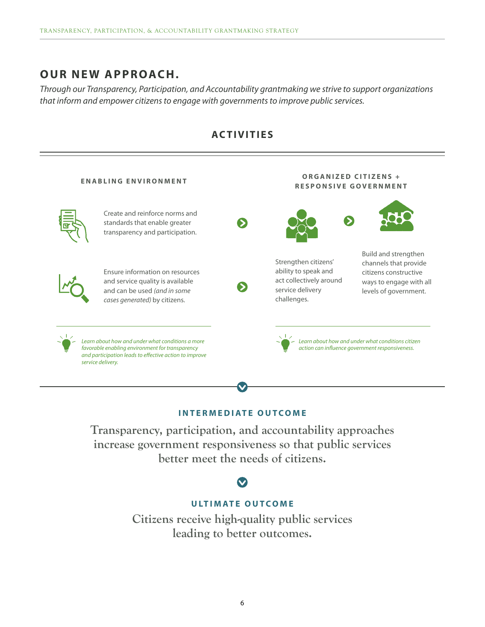# **OUR NEW APPROACH.**

*Through our Transparency, Participation, and Accountability grantmaking we strive to support organizations that inform and empower citizens to engage with governments to improve public services.*



## **ACTIVITIES**

### **INTERMEDIATE OUTCOME**

**Transparency, participation, and accountability approaches increase government responsiveness so that public services better meet the needs of citizens.**

## **U LT I M AT E O U TCO M E**

**Citizens receive high-quality public services leading to better outcomes.**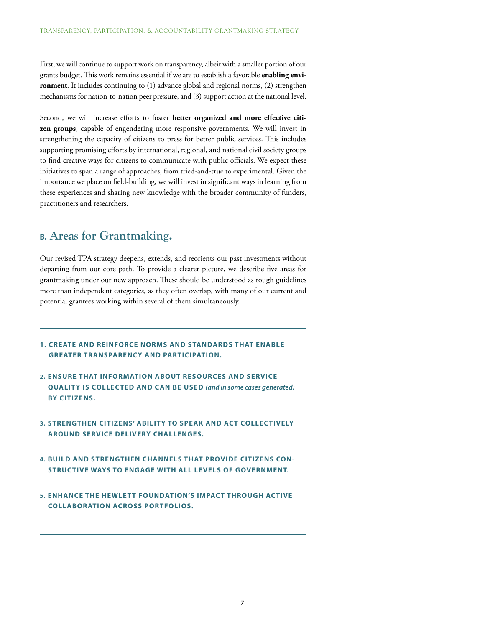First, we will continue to support work on transparency, albeit with a smaller portion of our grants budget. This work remains essential if we are to establish a favorable **enabling environment**. It includes continuing to (1) advance global and regional norms, (2) strengthen mechanisms for nation-to-nation peer pressure, and (3) support action at the national level.

Second, we will increase efforts to foster **better organized and more effective citizen groups**, capable of engendering more responsive governments. We will invest in strengthening the capacity of citizens to press for better public services. This includes supporting promising efforts by international, regional, and national civil society groups to find creative ways for citizens to communicate with public officials. We expect these initiatives to span a range of approaches, from tried-and-true to experimental. Given the importance we place on field-building, we will invest in significant ways in learning from these experiences and sharing new knowledge with the broader community of funders, practitioners and researchers.

## **B. Areas for Grantmaking.**

Our revised TPA strategy deepens, extends, and reorients our past investments without departing from our core path. To provide a clearer picture, we describe five areas for grantmaking under our new approach. These should be understood as rough guidelines more than independent categories, as they often overlap, with many of our current and potential grantees working within several of them simultaneously.

- **1. CREATE AND REINFORCE NORMS AND STANDARDS THAT ENABLE GREATER TRANSPARENCY AND PARTICIPATION.**
- **2. ENSURE THAT INFORMATION ABOUT RESOURCES AND SERVICE QUALITY IS COLLECTED AND CAN BE USED** *(and in some cases generated)* **BY CITIZENS.**
- **3. STRENGTHEN CITIZENS' ABILITY TO SPEAK AND ACT COLLECTIVELY AROUND SERVICE DELIVERY CHALLENGES.**
- **4. BUILD AND STRENGTHEN CHANNELS THAT PROVIDE CITIZENS CON-STRUC TIVE WAYS TO ENGAGE WITH ALL LEVELS OF GOVERNMENT.**
- **5. ENHANCE THE HEWLET T FOUNDATION'S IMPACT THROUGH ACTIVE COLLABORATION ACROSS PORTFOLIOS.**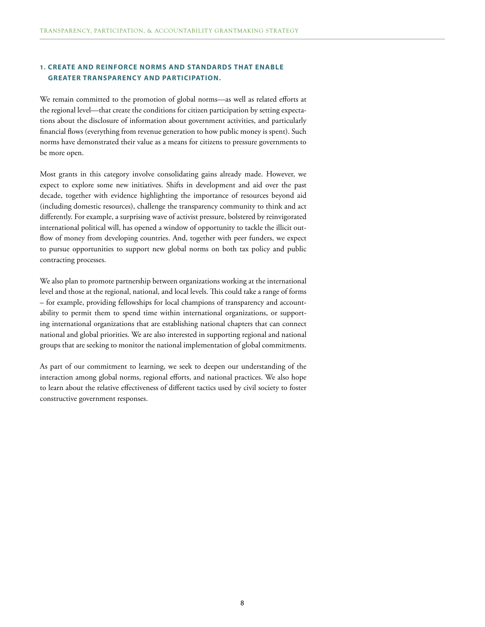### **1. CREATE AND REINFORCE NORMS AND STANDARDS THAT ENABLE GREATER TRANSPARENCY AND PARTICIPATION.**

We remain committed to the promotion of global norms—as well as related efforts at the regional level—that create the conditions for citizen participation by setting expectations about the disclosure of information about government activities, and particularly financial flows (everything from revenue generation to how public money is spent). Such norms have demonstrated their value as a means for citizens to pressure governments to be more open.

Most grants in this category involve consolidating gains already made. However, we expect to explore some new initiatives. Shifts in development and aid over the past decade, together with evidence highlighting the importance of resources beyond aid (including domestic resources), challenge the transparency community to think and act differently. For example, a surprising wave of activist pressure, bolstered by reinvigorated international political will, has opened a window of opportunity to tackle the illicit outflow of money from developing countries. And, together with peer funders, we expect to pursue opportunities to support new global norms on both tax policy and public contracting processes.

We also plan to promote partnership between organizations working at the international level and those at the regional, national, and local levels. This could take a range of forms – for example, providing fellowships for local champions of transparency and accountability to permit them to spend time within international organizations, or supporting international organizations that are establishing national chapters that can connect national and global priorities. We are also interested in supporting regional and national groups that are seeking to monitor the national implementation of global commitments.

As part of our commitment to learning, we seek to deepen our understanding of the interaction among global norms, regional efforts, and national practices. We also hope to learn about the relative effectiveness of different tactics used by civil society to foster constructive government responses.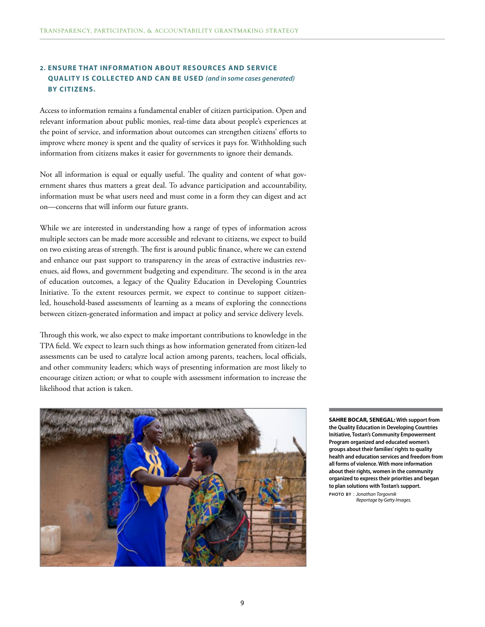### **2. ENSURE THAT INFORMATION ABOUT RESOURCES AND SERVICE QUALITY IS COLLECTED AND CAN BE USED** *(and in some cases generated)* **BY CITIZENS.**

Access to information remains a fundamental enabler of citizen participation. Open and relevant information about public monies, real-time data about people's experiences at the point of service, and information about outcomes can strengthen citizens' efforts to improve where money is spent and the quality of services it pays for. Withholding such information from citizens makes it easier for governments to ignore their demands.

Not all information is equal or equally useful. The quality and content of what government shares thus matters a great deal. To advance participation and accountability, information must be what users need and must come in a form they can digest and act on—concerns that will inform our future grants.

While we are interested in understanding how a range of types of information across multiple sectors can be made more accessible and relevant to citizens, we expect to build on two existing areas of strength. The first is around public finance, where we can extend and enhance our past support to transparency in the areas of extractive industries revenues, aid flows, and government budgeting and expenditure. The second is in the area of education outcomes, a legacy of the Quality Education in Developing Countries Initiative. To the extent resources permit, we expect to continue to support citizenled, household-based assessments of learning as a means of exploring the connections between citizen-generated information and impact at policy and service delivery levels.

Through this work, we also expect to make important contributions to knowledge in the TPA field. We expect to learn such things as how information generated from citizen-led assessments can be used to catalyze local action among parents, teachers, local officials, and other community leaders; which ways of presenting information are most likely to encourage citizen action; or what to couple with assessment information to increase the likelihood that action is taken.



**SAHRE BOCAR, SENEGAL: With support from the Quality Education in Developing Countries Initiative, Tostan's Community Empowerment Program organized and educated women's groups about their families' rights to quality health and education services and freedom from all forms of violence. With more information about their rights, women in the community organized to express their priorities and began to plan solutions with Tostan's support. photo by** : *Jonathan Torgovnik*

*Reportage by Getty Images.*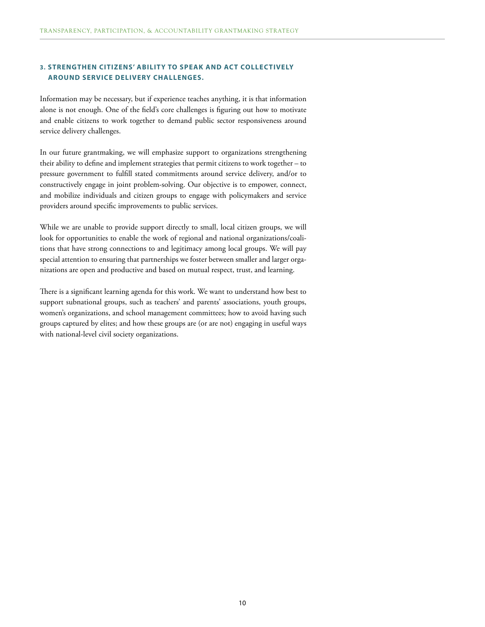### **3. STRENGTHEN CITIZENS' ABILITY TO SPEAK AND ACT COLLECTIVELY AROUND SERVICE DELIVERY CHALLENGES.**

Information may be necessary, but if experience teaches anything, it is that information alone is not enough. One of the field's core challenges is figuring out how to motivate and enable citizens to work together to demand public sector responsiveness around service delivery challenges.

In our future grantmaking, we will emphasize support to organizations strengthening their ability to define and implement strategies that permit citizens to work together – to pressure government to fulfill stated commitments around service delivery, and/or to constructively engage in joint problem-solving. Our objective is to empower, connect, and mobilize individuals and citizen groups to engage with policymakers and service providers around specific improvements to public services.

While we are unable to provide support directly to small, local citizen groups, we will look for opportunities to enable the work of regional and national organizations/coalitions that have strong connections to and legitimacy among local groups. We will pay special attention to ensuring that partnerships we foster between smaller and larger organizations are open and productive and based on mutual respect, trust, and learning.

There is a significant learning agenda for this work. We want to understand how best to support subnational groups, such as teachers' and parents' associations, youth groups, women's organizations, and school management committees; how to avoid having such groups captured by elites; and how these groups are (or are not) engaging in useful ways with national-level civil society organizations.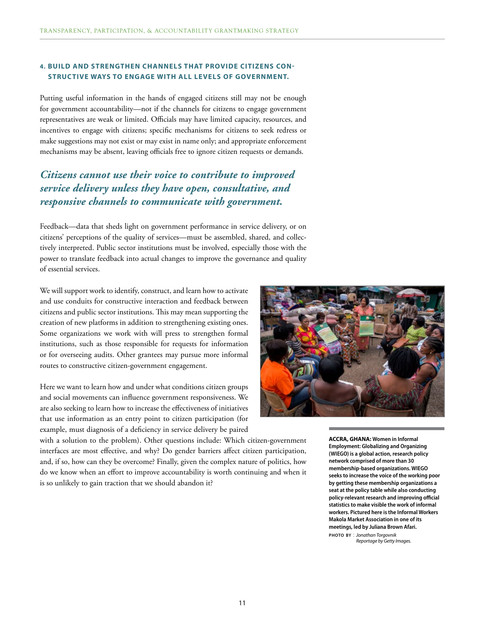### **4. BUILD AND STRENGTHEN CHANNELS THAT PROVIDE CITIZENS CON-STRUC TIVE WAYS TO ENGAGE WITH ALL LEVELS OF GOVERNMENT.**

Putting useful information in the hands of engaged citizens still may not be enough for government accountability—not if the channels for citizens to engage government representatives are weak or limited. Officials may have limited capacity, resources, and incentives to engage with citizens; specific mechanisms for citizens to seek redress or make suggestions may not exist or may exist in name only; and appropriate enforcement mechanisms may be absent, leaving officials free to ignore citizen requests or demands.

# *Citizens cannot use their voice to contribute to improved service delivery unless they have open, consultative, and responsive channels to communicate with government.*

Feedback—data that sheds light on government performance in service delivery, or on citizens' perceptions of the quality of services—must be assembled, shared, and collectively interpreted. Public sector institutions must be involved, especially those with the power to translate feedback into actual changes to improve the governance and quality of essential services.

We will support work to identify, construct, and learn how to activate and use conduits for constructive interaction and feedback between citizens and public sector institutions. This may mean supporting the creation of new platforms in addition to strengthening existing ones. Some organizations we work with will press to strengthen formal institutions, such as those responsible for requests for information or for overseeing audits. Other grantees may pursue more informal routes to constructive citizen-government engagement.

Here we want to learn how and under what conditions citizen groups and social movements can influence government responsiveness. We are also seeking to learn how to increase the effectiveness of initiatives that use information as an entry point to citizen participation (for example, must diagnosis of a deficiency in service delivery be paired

with a solution to the problem). Other questions include: Which citizen-government interfaces are most effective, and why? Do gender barriers affect citizen participation, and, if so, how can they be overcome? Finally, given the complex nature of politics, how do we know when an effort to improve accountability is worth continuing and when it is so unlikely to gain traction that we should abandon it?



**ACCRA, GHANA: Women in Informal Employment: Globalizing and Organizing (WIEGO) is a global action, research policy network comprised of more than 30 membership-based organizations. WIEGO seeks to increase the voice of the working poor by getting these membership organizations a seat at the policy table while also conducting policy-relevant research and improving official statistics to make visible the work of informal workers. Pictured here is the Informal Workers Makola Market Association in one of its meetings, led by Juliana Brown Afari.** 

**photo by** : *Jonathan Torgovnik Reportage by Getty Images.*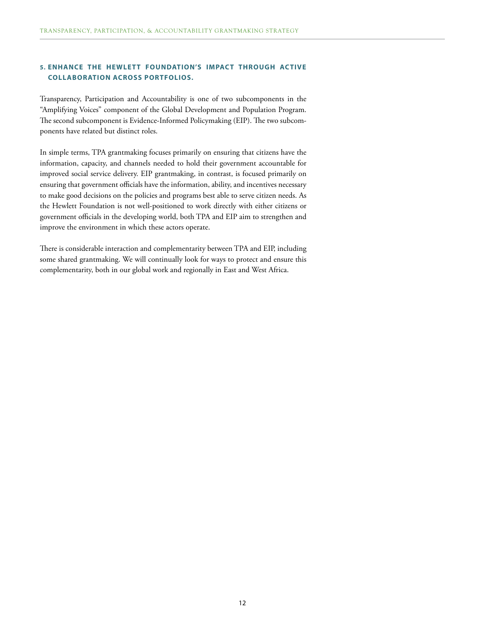### **5. ENHANCE THE HEWLET T FOUNDATION'S IMPACT THROUGH ACTIVE COLLABORATION ACROSS PORTFOLIOS.**

Transparency, Participation and Accountability is one of two subcomponents in the "Amplifying Voices" component of the Global Development and Population Program. The second subcomponent is Evidence-Informed Policymaking (EIP). The two subcomponents have related but distinct roles.

In simple terms, TPA grantmaking focuses primarily on ensuring that citizens have the information, capacity, and channels needed to hold their government accountable for improved social service delivery. EIP grantmaking, in contrast, is focused primarily on ensuring that government officials have the information, ability, and incentives necessary to make good decisions on the policies and programs best able to serve citizen needs. As the Hewlett Foundation is not well-positioned to work directly with either citizens or government officials in the developing world, both TPA and EIP aim to strengthen and improve the environment in which these actors operate.

There is considerable interaction and complementarity between TPA and EIP, including some shared grantmaking. We will continually look for ways to protect and ensure this complementarity, both in our global work and regionally in East and West Africa.